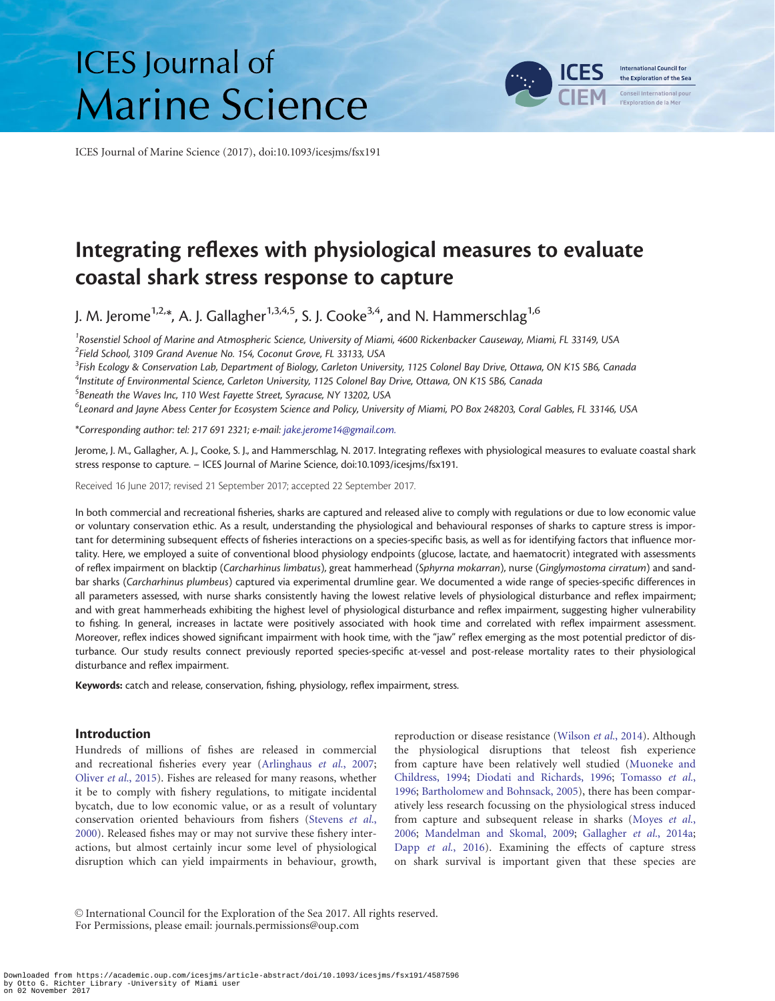# **ICES** Journal of **Marine Science**

ICES Journal of Marine Science (2017), doi:10.1093/icesjms/fsx191

# Integrating reflexes with physiological measures to evaluate coastal shark stress response to capture

J. M. Jerome<sup>1,2,\*</sup>, A. J. Gallagher<sup>1,3,4,5</sup>, S. J. Cooke<sup>3,4</sup>, and N. Hammerschlag<sup>1,6</sup>

<sup>1</sup>Rosenstiel School of Marine and Atmospheric Science, University of Miami, 4600 Rickenbacker Causeway, Miami, FL 33149, USA  $^2$ Field School, 3109 Grand Avenue No. 154, Coconut Grove, FL 33133, USA

<sup>3</sup>Fish Ecology & Conservation Lab, Department of Biology, Carleton University, 1125 Colonel Bay Drive, Ottawa, ON K1S 5B6, Canada

4 Institute of Environmental Science, Carleton University, 1125 Colonel Bay Drive, Ottawa, ON K1S 5B6, Canada

 $^5$ Beneath the Waves Inc, 110 West Fayette Street, Syracuse, NY 13202, USA

<sup>6</sup>Leonard and Jayne Abess Center for Ecosystem Science and Policy, University of Miami, PO Box 248203, Coral Gables, FL 33146, USA

\*Corresponding author: tel: 217 691 2321; e-mail: [jake.jerome14@gmail.com.](mailto:jake.jerome14@gmail.com.)

Jerome, J. M., Gallagher, A. J., Cooke, S. J., and Hammerschlag, N. 2017. Integrating reflexes with physiological measures to evaluate coastal shark stress response to capture. – ICES Journal of Marine Science, doi:10.1093/icesjms/fsx191.

Received 16 June 2017; revised 21 September 2017; accepted 22 September 2017.

In both commercial and recreational fisheries, sharks are captured and released alive to comply with regulations or due to low economic value or voluntary conservation ethic. As a result, understanding the physiological and behavioural responses of sharks to capture stress is important for determining subsequent effects of fisheries interactions on a species-specific basis, as well as for identifying factors that influence mortality. Here, we employed a suite of conventional blood physiology endpoints (glucose, lactate, and haematocrit) integrated with assessments of reflex impairment on blacktip (Carcharhinus limbatus), great hammerhead (Sphyrna mokarran), nurse (Ginglymostoma cirratum) and sandbar sharks (Carcharhinus plumbeus) captured via experimental drumline gear. We documented a wide range of species-specific differences in all parameters assessed, with nurse sharks consistently having the lowest relative levels of physiological disturbance and reflex impairment; and with great hammerheads exhibiting the highest level of physiological disturbance and reflex impairment, suggesting higher vulnerability to fishing. In general, increases in lactate were positively associated with hook time and correlated with reflex impairment assessment. Moreover, reflex indices showed significant impairment with hook time, with the "jaw" reflex emerging as the most potential predictor of disturbance. Our study results connect previously reported species-specific at-vessel and post-release mortality rates to their physiological disturbance and reflex impairment.

Keywords: catch and release, conservation, fishing, physiology, reflex impairment, stress.

#### Introduction

Hundreds of millions of fishes are released in commercial and recreational fisheries every year [\(Arlinghaus](#page-6-0) et al., 2007; [Oliver](#page-8-0) et al., 2015). Fishes are released for many reasons, whether it be to comply with fishery regulations, to mitigate incidental bycatch, due to low economic value, or as a result of voluntary conservation oriented behaviours from fishers [\(Stevens](#page-8-0) et al., [2000\)](#page-8-0). Released fishes may or may not survive these fishery interactions, but almost certainly incur some level of physiological disruption which can yield impairments in behaviour, growth, reproduction or disease resistance ([Wilson](#page-8-0) et al., 2014). Although the physiological disruptions that teleost fish experience from capture have been relatively well studied ([Muoneke and](#page-8-0) [Childress, 1994;](#page-8-0) [Diodati and Richards, 1996;](#page-7-0) [Tomasso](#page-8-0) et al., [1996;](#page-8-0) [Bartholomew and Bohnsack, 2005](#page-6-0)), there has been comparatively less research focussing on the physiological stress induced from capture and subsequent release in sharks [\(Moyes](#page-8-0) et al., [2006;](#page-8-0) [Mandelman and Skomal, 2009;](#page-7-0) [Gallagher](#page-7-0) et al., 2014a; Dapp et al.[, 2016](#page-7-0)). Examining the effects of capture stress on shark survival is important given that these species are

**International Council for** the Exploration of the Sea

© International Council for the Exploration of the Sea 2017. All rights reserved. For Permissions, please email: journals.permissions@oup.com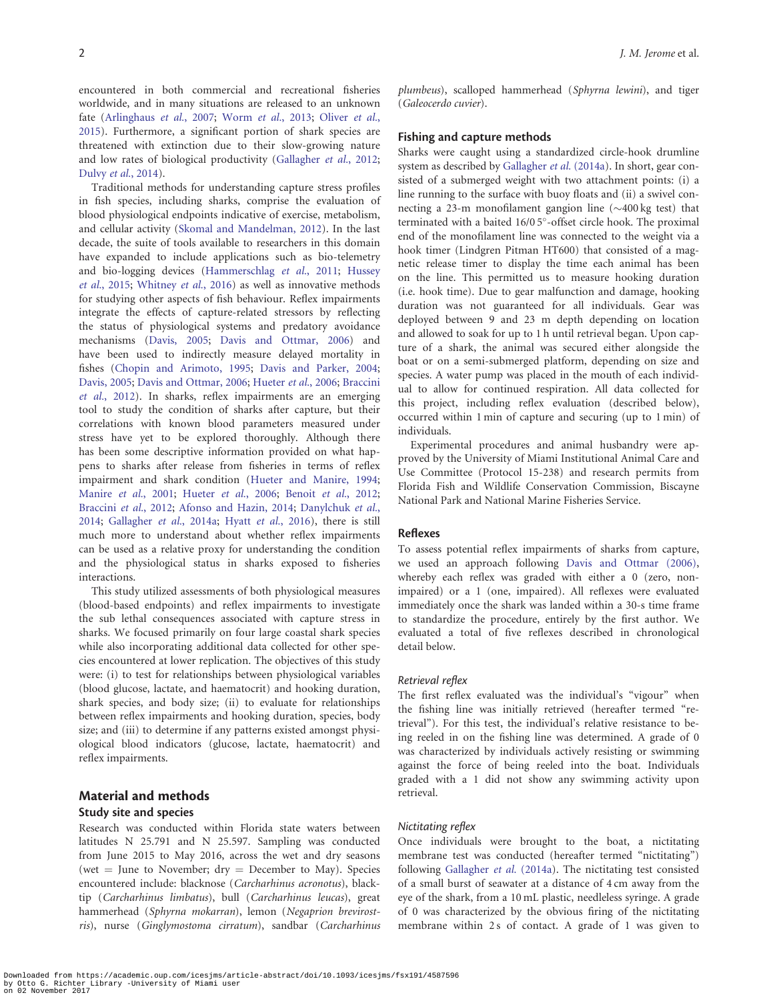encountered in both commercial and recreational fisheries worldwide, and in many situations are released to an unknown fate ([Arlinghaus](#page-6-0) et al., 2007; [Worm](#page-8-0) et al., 2013; [Oliver](#page-8-0) et al., [2015\)](#page-8-0). Furthermore, a significant portion of shark species are threatened with extinction due to their slow-growing nature and low rates of biological productivity [\(Gallagher](#page-7-0) et al., 2012; [Dulvy](#page-7-0) et al., 2014).

Traditional methods for understanding capture stress profiles in fish species, including sharks, comprise the evaluation of blood physiological endpoints indicative of exercise, metabolism, and cellular activity [\(Skomal and Mandelman, 2012](#page-8-0)). In the last decade, the suite of tools available to researchers in this domain have expanded to include applications such as bio-telemetry and bio-logging devices [\(Hammerschlag](#page-7-0) et al., 2011; [Hussey](#page-7-0) et al.[, 2015;](#page-7-0) [Whitney](#page-8-0) et al., 2016) as well as innovative methods for studying other aspects of fish behaviour. Reflex impairments integrate the effects of capture-related stressors by reflecting the status of physiological systems and predatory avoidance mechanisms ([Davis, 2005;](#page-7-0) [Davis and Ottmar, 2006](#page-7-0)) and have been used to indirectly measure delayed mortality in fishes ([Chopin and Arimoto, 1995](#page-7-0); [Davis and Parker, 2004](#page-7-0); [Davis, 2005](#page-7-0); [Davis and Ottmar, 2006;](#page-7-0) [Hueter](#page-7-0) et al., 2006; [Braccini](#page-7-0) et al.[, 2012\)](#page-7-0). In sharks, reflex impairments are an emerging tool to study the condition of sharks after capture, but their correlations with known blood parameters measured under stress have yet to be explored thoroughly. Although there has been some descriptive information provided on what happens to sharks after release from fisheries in terms of reflex impairment and shark condition [\(Hueter and Manire, 1994](#page-7-0); [Manire](#page-7-0) et al., 2001; [Hueter](#page-7-0) et al., 2006; Benoit et al.[, 2012](#page-6-0); [Braccini](#page-7-0) et al., 2012; [Afonso and Hazin, 2014](#page-6-0); [Danylchuk](#page-7-0) et al., [2014;](#page-7-0) [Gallagher](#page-7-0) et al., 2014a; Hyatt et al.[, 2016](#page-7-0)), there is still much more to understand about whether reflex impairments can be used as a relative proxy for understanding the condition and the physiological status in sharks exposed to fisheries interactions.

This study utilized assessments of both physiological measures (blood-based endpoints) and reflex impairments to investigate the sub lethal consequences associated with capture stress in sharks. We focused primarily on four large coastal shark species while also incorporating additional data collected for other species encountered at lower replication. The objectives of this study were: (i) to test for relationships between physiological variables (blood glucose, lactate, and haematocrit) and hooking duration, shark species, and body size; (ii) to evaluate for relationships between reflex impairments and hooking duration, species, body size; and (iii) to determine if any patterns existed amongst physiological blood indicators (glucose, lactate, haematocrit) and reflex impairments.

## Material and methods Study site and species

## Research was conducted within Florida state waters between latitudes N 25.791 and N 25.597. Sampling was conducted from June 2015 to May 2016, across the wet and dry seasons (wet  $=$  June to November; dry  $=$  December to May). Species encountered include: blacknose (Carcharhinus acronotus), blacktip (Carcharhinus limbatus), bull (Carcharhinus leucas), great hammerhead (Sphyrna mokarran), lemon (Negaprion brevirostris), nurse (Ginglymostoma cirratum), sandbar (Carcharhinus

plumbeus), scalloped hammerhead (Sphyrna lewini), and tiger (Galeocerdo cuvier).

#### Fishing and capture methods

Sharks were caught using a standardized circle-hook drumline system as described by [Gallagher](#page-7-0) et al. (2014a). In short, gear consisted of a submerged weight with two attachment points: (i) a line running to the surface with buoy floats and (ii) a swivel connecting a 23-m monofilament gangion line  $(\sim 400 \text{ kg test})$  that terminated with a baited 16/05°-offset circle hook. The proximal end of the monofilament line was connected to the weight via a hook timer (Lindgren Pitman HT600) that consisted of a magnetic release timer to display the time each animal has been on the line. This permitted us to measure hooking duration (i.e. hook time). Due to gear malfunction and damage, hooking duration was not guaranteed for all individuals. Gear was deployed between 9 and 23 m depth depending on location and allowed to soak for up to 1 h until retrieval began. Upon capture of a shark, the animal was secured either alongside the boat or on a semi-submerged platform, depending on size and species. A water pump was placed in the mouth of each individual to allow for continued respiration. All data collected for this project, including reflex evaluation (described below), occurred within 1 min of capture and securing (up to 1 min) of individuals.

Experimental procedures and animal husbandry were approved by the University of Miami Institutional Animal Care and Use Committee (Protocol 15-238) and research permits from Florida Fish and Wildlife Conservation Commission, Biscayne National Park and National Marine Fisheries Service.

#### Reflexes

To assess potential reflex impairments of sharks from capture, we used an approach following [Davis and Ottmar \(2006\),](#page-7-0) whereby each reflex was graded with either a 0 (zero, nonimpaired) or a 1 (one, impaired). All reflexes were evaluated immediately once the shark was landed within a 30-s time frame to standardize the procedure, entirely by the first author. We evaluated a total of five reflexes described in chronological detail below.

#### Retrieval reflex

The first reflex evaluated was the individual's "vigour" when the fishing line was initially retrieved (hereafter termed "retrieval"). For this test, the individual's relative resistance to being reeled in on the fishing line was determined. A grade of 0 was characterized by individuals actively resisting or swimming against the force of being reeled into the boat. Individuals graded with a 1 did not show any swimming activity upon retrieval.

#### Nictitating reflex

Once individuals were brought to the boat, a nictitating membrane test was conducted (hereafter termed "nictitating") following [Gallagher](#page-7-0) et al. (2014a). The nictitating test consisted of a small burst of seawater at a distance of 4 cm away from the eye of the shark, from a 10 mL plastic, needleless syringe. A grade of 0 was characterized by the obvious firing of the nictitating membrane within 2 s of contact. A grade of 1 was given to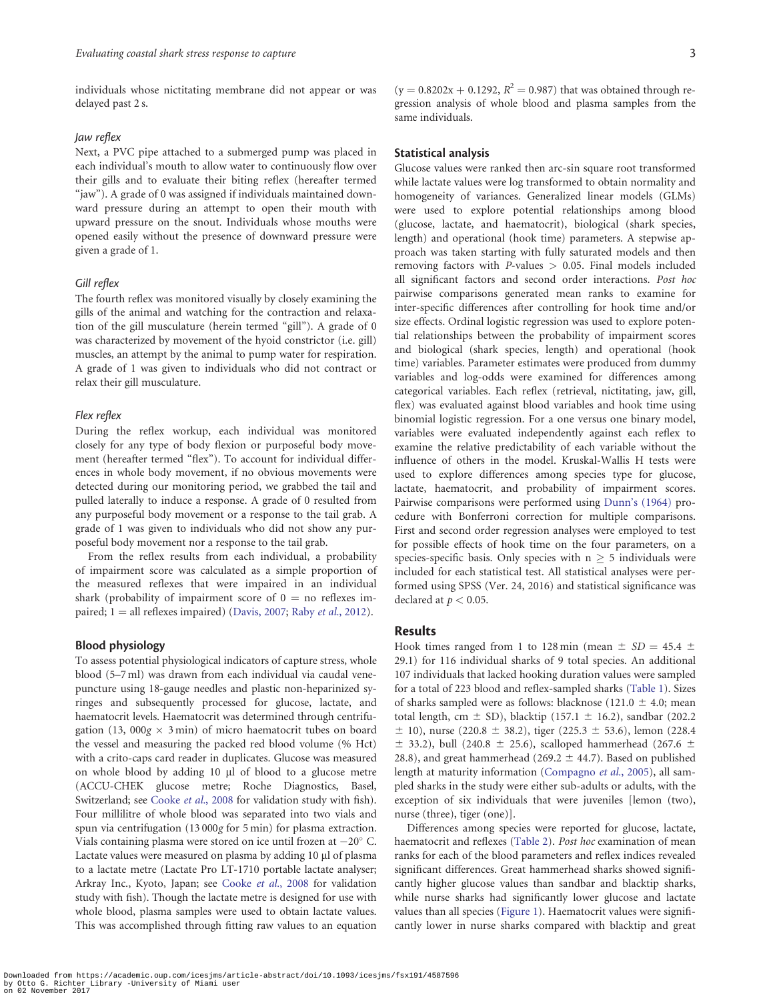individuals whose nictitating membrane did not appear or was delayed past 2 s.

#### Jaw reflex

Next, a PVC pipe attached to a submerged pump was placed in each individual's mouth to allow water to continuously flow over their gills and to evaluate their biting reflex (hereafter termed "jaw"). A grade of 0 was assigned if individuals maintained downward pressure during an attempt to open their mouth with upward pressure on the snout. Individuals whose mouths were opened easily without the presence of downward pressure were given a grade of 1.

#### Gill reflex

The fourth reflex was monitored visually by closely examining the gills of the animal and watching for the contraction and relaxation of the gill musculature (herein termed "gill"). A grade of 0 was characterized by movement of the hyoid constrictor (i.e. gill) muscles, an attempt by the animal to pump water for respiration. A grade of 1 was given to individuals who did not contract or relax their gill musculature.

#### Flex reflex

During the reflex workup, each individual was monitored closely for any type of body flexion or purposeful body movement (hereafter termed "flex"). To account for individual differences in whole body movement, if no obvious movements were detected during our monitoring period, we grabbed the tail and pulled laterally to induce a response. A grade of 0 resulted from any purposeful body movement or a response to the tail grab. A grade of 1 was given to individuals who did not show any purposeful body movement nor a response to the tail grab.

From the reflex results from each individual, a probability of impairment score was calculated as a simple proportion of the measured reflexes that were impaired in an individual shark (probability of impairment score of  $0 =$  no reflexes impaired;  $1 =$  all reflexes impaired) [\(Davis, 2007](#page-7-0); Raby et al.[, 2012\)](#page-8-0).

#### Blood physiology

To assess potential physiological indicators of capture stress, whole blood (5–7 ml) was drawn from each individual via caudal venepuncture using 18-gauge needles and plastic non-heparinized syringes and subsequently processed for glucose, lactate, and haematocrit levels. Haematocrit was determined through centrifugation (13,  $0.00g \times 3$  min) of micro haematocrit tubes on board the vessel and measuring the packed red blood volume (% Hct) with a crito-caps card reader in duplicates. Glucose was measured on whole blood by adding 10 µl of blood to a glucose metre (ACCU-CHEK glucose metre; Roche Diagnostics, Basel, Switzerland; see [Cooke](#page-7-0) et al., 2008 for validation study with fish). Four millilitre of whole blood was separated into two vials and spun via centrifugation (13 000g for 5 min) for plasma extraction. Vials containing plasma were stored on ice until frozen at  $-20^{\circ}$  C. Lactate values were measured on plasma by adding 10 µl of plasma to a lactate metre (Lactate Pro LT-1710 portable lactate analyser; Arkray Inc., Kyoto, Japan; see Cooke et al.[, 2008](#page-7-0) for validation study with fish). Though the lactate metre is designed for use with whole blood, plasma samples were used to obtain lactate values. This was accomplished through fitting raw values to an equation

 $(y = 0.8202x + 0.1292, R^2 = 0.987)$  that was obtained through regression analysis of whole blood and plasma samples from the same individuals.

#### Statistical analysis

Glucose values were ranked then arc-sin square root transformed while lactate values were log transformed to obtain normality and homogeneity of variances. Generalized linear models (GLMs) were used to explore potential relationships among blood (glucose, lactate, and haematocrit), biological (shark species, length) and operational (hook time) parameters. A stepwise approach was taken starting with fully saturated models and then removing factors with  $P$ -values  $> 0.05$ . Final models included all significant factors and second order interactions. Post hoc pairwise comparisons generated mean ranks to examine for inter-specific differences after controlling for hook time and/or size effects. Ordinal logistic regression was used to explore potential relationships between the probability of impairment scores and biological (shark species, length) and operational (hook time) variables. Parameter estimates were produced from dummy variables and log-odds were examined for differences among categorical variables. Each reflex (retrieval, nictitating, jaw, gill, flex) was evaluated against blood variables and hook time using binomial logistic regression. For a one versus one binary model, variables were evaluated independently against each reflex to examine the relative predictability of each variable without the influence of others in the model. Kruskal-Wallis H tests were used to explore differences among species type for glucose, lactate, haematocrit, and probability of impairment scores. Pairwise comparisons were performed using [Dunn's \(1964\)](#page-7-0) procedure with Bonferroni correction for multiple comparisons. First and second order regression analyses were employed to test for possible effects of hook time on the four parameters, on a species-specific basis. Only species with  $n \geq 5$  individuals were included for each statistical test. All statistical analyses were performed using SPSS (Ver. 24, 2016) and statistical significance was declared at  $p < 0.05$ .

#### Results

Hook times ranged from 1 to 128 min (mean  $\pm$  SD = 45.4  $\pm$ 29.1) for 116 individual sharks of 9 total species. An additional 107 individuals that lacked hooking duration values were sampled for a total of 223 blood and reflex-sampled sharks [\(Table 1\)](#page-3-0). Sizes of sharks sampled were as follows: blacknose (121.0  $\pm$  4.0; mean total length, cm  $\pm$  SD), blacktip (157.1  $\pm$  16.2), sandbar (202.2  $\pm$  10), nurse (220.8  $\pm$  38.2), tiger (225.3  $\pm$  53.6), lemon (228.4  $\pm$  33.2), bull (240.8  $\pm$  25.6), scalloped hammerhead (267.6  $\pm$ 28.8), and great hammerhead (269.2  $\pm$  44.7). Based on published length at maturity information [\(Compagno](#page-7-0) et al., 2005), all sampled sharks in the study were either sub-adults or adults, with the exception of six individuals that were juveniles [lemon (two), nurse (three), tiger (one)].

Differences among species were reported for glucose, lactate, haematocrit and reflexes [\(Table 2](#page-3-0)). Post hoc examination of mean ranks for each of the blood parameters and reflex indices revealed significant differences. Great hammerhead sharks showed significantly higher glucose values than sandbar and blacktip sharks, while nurse sharks had significantly lower glucose and lactate values than all species ([Figure 1](#page-4-0)). Haematocrit values were significantly lower in nurse sharks compared with blacktip and great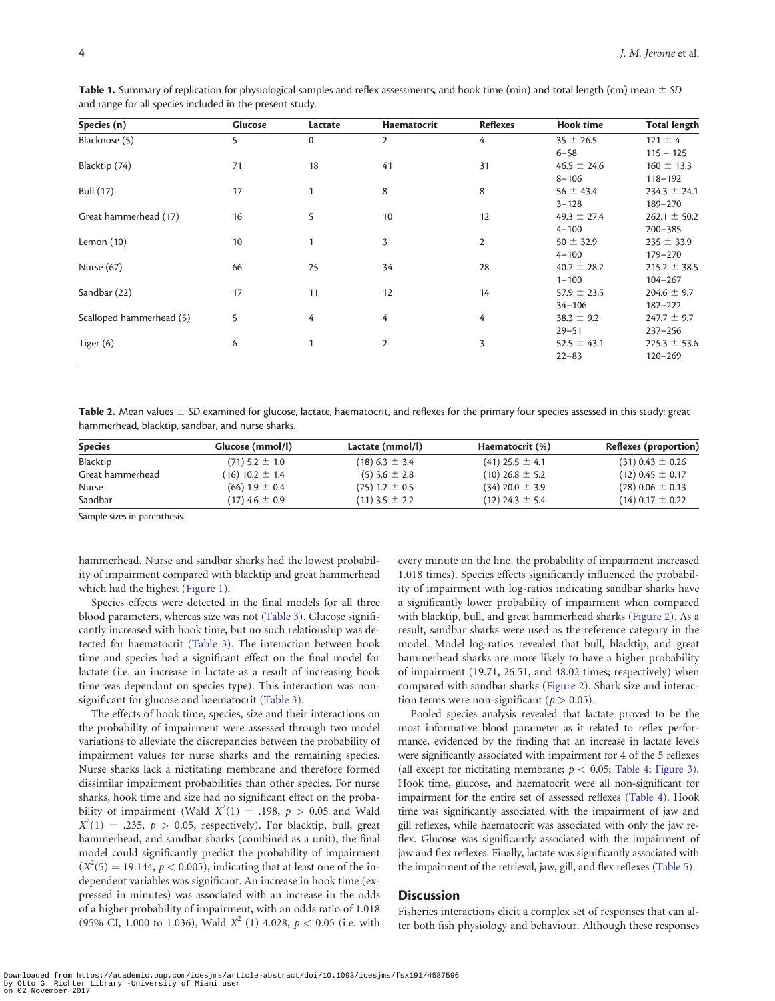| Species (n)              | Glucose | Lactate     | Haematocrit | <b>Reflexes</b> | <b>Hook time</b> | <b>Total length</b> |
|--------------------------|---------|-------------|-------------|-----------------|------------------|---------------------|
| Blacknose (5)            | 5       | $\mathbf 0$ | 2           | 4               | $35 \pm 26.5$    | $121 \pm 4$         |
|                          |         |             |             |                 | $6 - 58$         | $115 - 125$         |
| Blacktip (74)            | 71      | 18          | 41          | 31              | $46.5 \pm 24.6$  | $160 \pm 13.3$      |
|                          |         |             |             |                 | $8 - 106$        | $118 - 192$         |
| Bull (17)                | 17      |             | 8           | 8               | $56 \pm 43.4$    | $234.3 \pm 24.1$    |
|                          |         |             |             |                 | $3 - 128$        | $189 - 270$         |
| Great hammerhead (17)    | 16      | 5           | 10          | 12              | $49.3 \pm 27.4$  | $262.1 \pm 50.2$    |
|                          |         |             |             |                 | $4 - 100$        | $200 - 385$         |
| Lemon $(10)$             | 10      | 1           | 3           | $\overline{2}$  | $50 \pm 32.9$    | $235 \pm 33.9$      |
|                          |         |             |             |                 | $4 - 100$        | 179-270             |
| Nurse (67)               | 66      | 25          | 34          | 28              | $40.7 \pm 28.2$  | $215.2 \pm 38.5$    |
|                          |         |             |             |                 | $1 - 100$        | $104 - 267$         |
| Sandbar (22)             | 17      | 11          | 12          | 14              | $57.9 \pm 23.5$  | $204.6 \pm 9.7$     |
|                          |         |             |             |                 | $34 - 106$       | $182 - 222$         |
| Scalloped hammerhead (5) | 5       | 4           | 4           | 4               | $38.3 \pm 9.2$   | $247.7 \pm 9.7$     |
|                          |         |             |             |                 | $29 - 51$        | $237 - 256$         |
| Tiger $(6)$              | 6       | 1           | 2           | 3               | 52.5 $\pm$ 43.1  | $225.3 \pm 53.6$    |
|                          |         |             |             |                 | $22 - 83$        | $120 - 269$         |

<span id="page-3-0"></span>Table 1. Summary of replication for physiological samples and reflex assessments, and hook time (min) and total length (cm) mean  $\pm$  SD and range for all species included in the present study.

Table 2. Mean values  $\pm$  SD examined for glucose, lactate, haematocrit, and reflexes for the primary four species assessed in this study: great hammerhead, blacktip, sandbar, and nurse sharks.

| <b>Species</b>   | Glucose (mmol/l)      | Lactate (mmol/l)     | Haematocrit (%)       | Reflexes (proportion)  |
|------------------|-----------------------|----------------------|-----------------------|------------------------|
| Blacktip         | $(71)$ 5.2 $\pm$ 1.0  | $(18)$ 6.3 $\pm$ 3.4 | $(41)$ 25.5 $\pm$ 4.1 | $(31)$ 0.43 $\pm$ 0.26 |
| Great hammerhead | $(16)$ 10.2 $\pm$ 1.4 | $(5)$ 5.6 $\pm$ 2.8  | $(10)$ 26.8 $\pm$ 5.2 | $(12)$ 0.45 $\pm$ 0.17 |
| Nurse            | $(66)$ 1.9 $\pm$ 0.4  | $(25)$ 1.2 $\pm$ 0.5 | $(34)$ 20.0 $\pm$ 3.9 | $(28)$ 0.06 $\pm$ 0.13 |
| Sandbar          | $(17)$ 4.6 $\pm$ 0.9  | $(11)$ 3.5 $\pm$ 2.2 | $(12)$ 24.3 $\pm$ 5.4 | $(14)$ 0.17 $\pm$ 0.22 |

Sample sizes in parenthesis.

hammerhead. Nurse and sandbar sharks had the lowest probability of impairment compared with blacktip and great hammerhead which had the highest [\(Figure 1\)](#page-4-0).

Species effects were detected in the final models for all three blood parameters, whereas size was not ([Table 3](#page-4-0)). Glucose significantly increased with hook time, but no such relationship was detected for haematocrit ([Table 3](#page-4-0)). The interaction between hook time and species had a significant effect on the final model for lactate (i.e. an increase in lactate as a result of increasing hook time was dependant on species type). This interaction was nonsignificant for glucose and haematocrit ([Table 3](#page-4-0)).

The effects of hook time, species, size and their interactions on the probability of impairment were assessed through two model variations to alleviate the discrepancies between the probability of impairment values for nurse sharks and the remaining species. Nurse sharks lack a nictitating membrane and therefore formed dissimilar impairment probabilities than other species. For nurse sharks, hook time and size had no significant effect on the probability of impairment (Wald  $X^2(1) = .198$ ,  $p > 0.05$  and Wald  $X^2(1) = .235, p > 0.05$ , respectively). For blacktip, bull, great hammerhead, and sandbar sharks (combined as a unit), the final model could significantly predict the probability of impairment  $(X^2(5) = 19.144, p < 0.005)$ , indicating that at least one of the independent variables was significant. An increase in hook time (expressed in minutes) was associated with an increase in the odds of a higher probability of impairment, with an odds ratio of 1.018 (95% CI, 1.000 to 1.036), Wald  $X^2$  (1) 4.028,  $p < 0.05$  (i.e. with

every minute on the line, the probability of impairment increased 1.018 times). Species effects significantly influenced the probability of impairment with log-ratios indicating sandbar sharks have a significantly lower probability of impairment when compared with blacktip, bull, and great hammerhead sharks ([Figure 2\)](#page-5-0). As a result, sandbar sharks were used as the reference category in the model. Model log-ratios revealed that bull, blacktip, and great hammerhead sharks are more likely to have a higher probability of impairment (19.71, 26.51, and 48.02 times; respectively) when compared with sandbar sharks ([Figure 2\)](#page-5-0). Shark size and interaction terms were non-significant ( $p > 0.05$ ).

Pooled species analysis revealed that lactate proved to be the most informative blood parameter as it related to reflex performance, evidenced by the finding that an increase in lactate levels were significantly associated with impairment for 4 of the 5 reflexes (all except for nictitating membrane;  $p < 0.05$ ; [Table 4;](#page-5-0) [Figure 3](#page-5-0)). Hook time, glucose, and haematocrit were all non-significant for impairment for the entire set of assessed reflexes [\(Table 4\)](#page-5-0). Hook time was significantly associated with the impairment of jaw and gill reflexes, while haematocrit was associated with only the jaw reflex. Glucose was significantly associated with the impairment of jaw and flex reflexes. Finally, lactate was significantly associated with the impairment of the retrieval, jaw, gill, and flex reflexes ([Table 5](#page-5-0)).

# **Discussion**

Fisheries interactions elicit a complex set of responses that can alter both fish physiology and behaviour. Although these responses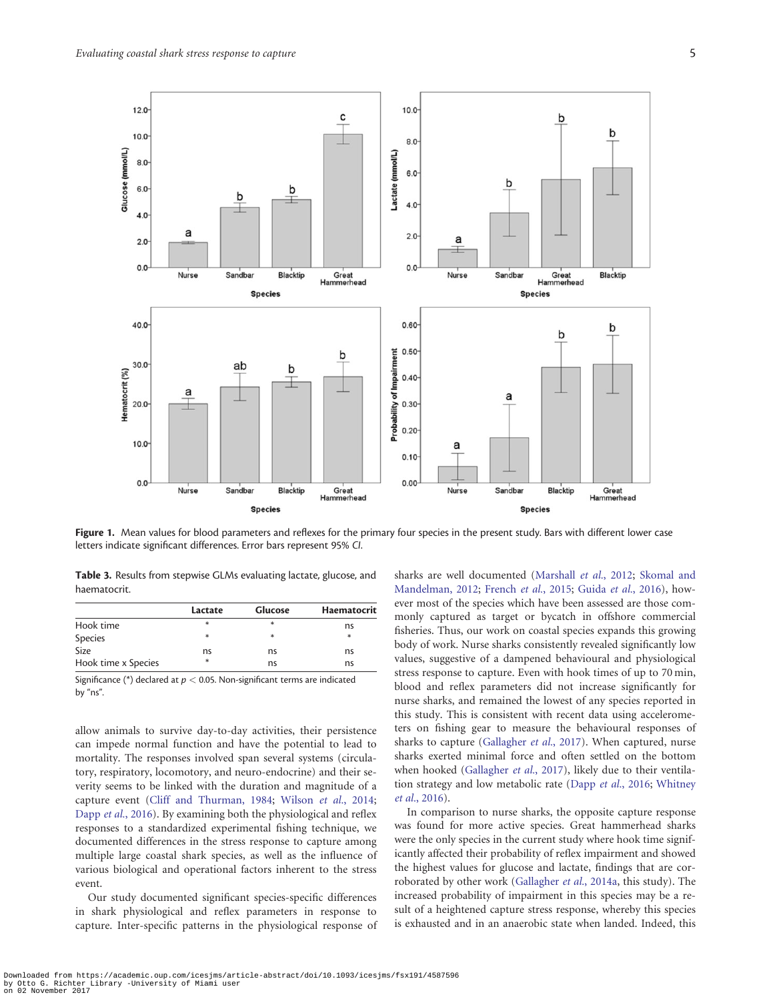<span id="page-4-0"></span>

Figure 1. Mean values for blood parameters and reflexes for the primary four species in the present study. Bars with different lower case letters indicate significant differences. Error bars represent 95% CI.

Table 3. Results from stepwise GLMs evaluating lactate, glucose, and haematocrit.

|                     | Lactate | Glucose | Haematocrit |
|---------------------|---------|---------|-------------|
| Hook time           | $*$     | *       | ns          |
| Species             | $\ast$  | $\ast$  | $\ast$      |
| Size                | ns      | ns      | ns          |
| Hook time x Species | $*$     | ns      | ns          |

Significance (\*) declared at  $p < 0.05$ . Non-significant terms are indicated by "ns".

allow animals to survive day-to-day activities, their persistence can impede normal function and have the potential to lead to mortality. The responses involved span several systems (circulatory, respiratory, locomotory, and neuro-endocrine) and their severity seems to be linked with the duration and magnitude of a capture event [\(Cliff and Thurman, 1984](#page-7-0); [Wilson](#page-8-0) et al., 2014; Dapp et al.[, 2016](#page-7-0)). By examining both the physiological and reflex responses to a standardized experimental fishing technique, we documented differences in the stress response to capture among multiple large coastal shark species, as well as the influence of various biological and operational factors inherent to the stress event.

Our study documented significant species-specific differences in shark physiological and reflex parameters in response to capture. Inter-specific patterns in the physiological response of

sharks are well documented [\(Marshall](#page-7-0) et al., 2012; [Skomal and](#page-8-0) [Mandelman, 2012](#page-8-0); [French](#page-7-0) et al., 2015; Guida et al.[, 2016\)](#page-7-0), however most of the species which have been assessed are those commonly captured as target or bycatch in offshore commercial fisheries. Thus, our work on coastal species expands this growing body of work. Nurse sharks consistently revealed significantly low values, suggestive of a dampened behavioural and physiological stress response to capture. Even with hook times of up to 70 min, blood and reflex parameters did not increase significantly for nurse sharks, and remained the lowest of any species reported in this study. This is consistent with recent data using accelerometers on fishing gear to measure the behavioural responses of sharks to capture ([Gallagher](#page-7-0) et al., 2017). When captured, nurse sharks exerted minimal force and often settled on the bottom when hooked ([Gallagher](#page-7-0) et al., 2017), likely due to their ventilation strategy and low metabolic rate (Dapp et al.[, 2016;](#page-7-0) [Whitney](#page-8-0) et al.[, 2016\)](#page-8-0).

In comparison to nurse sharks, the opposite capture response was found for more active species. Great hammerhead sharks were the only species in the current study where hook time significantly affected their probability of reflex impairment and showed the highest values for glucose and lactate, findings that are corroborated by other work [\(Gallagher](#page-7-0) et al., 2014a, this study). The increased probability of impairment in this species may be a result of a heightened capture stress response, whereby this species is exhausted and in an anaerobic state when landed. Indeed, this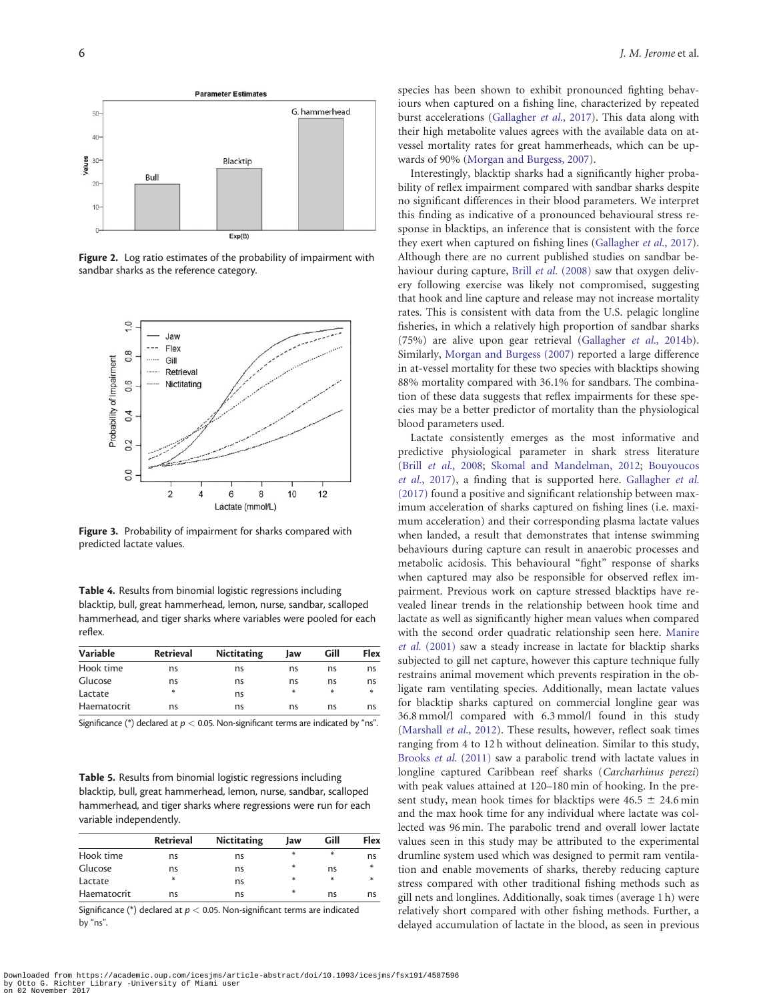<span id="page-5-0"></span>

Figure 2. Log ratio estimates of the probability of impairment with sandbar sharks as the reference category.



Figure 3. Probability of impairment for sharks compared with predicted lactate values.

Table 4. Results from binomial logistic regressions including blacktip, bull, great hammerhead, lemon, nurse, sandbar, scalloped hammerhead, and tiger sharks where variables were pooled for each reflex.

| Variable    | <b>Retrieval</b> | <b>Nictitating</b> | law    | Gill   | Flex   |
|-------------|------------------|--------------------|--------|--------|--------|
| Hook time   | ns               | ns                 | ns     | ns     | ns     |
| Glucose     | ns               | ns                 | ns     | ns     | ns     |
| Lactate     | $\ast$           | ns                 | $\ast$ | $\ast$ | $\ast$ |
| Haematocrit | ns               | ns                 | ns     | ns     | ns     |

Significance (\*) declared at  $p < 0.05$ . Non-significant terms are indicated by "ns".

Table 5. Results from binomial logistic regressions including blacktip, bull, great hammerhead, lemon, nurse, sandbar, scalloped hammerhead, and tiger sharks where regressions were run for each variable independently.

|             | Retrieval | <b>Nictitating</b> | law | Gill   | <b>Flex</b> |
|-------------|-----------|--------------------|-----|--------|-------------|
| Hook time   | ns        | ns                 | *   | ∗      | ns          |
| Glucose     | ns        | ns                 | *   | ns     | *           |
| Lactate     | *         | ns                 | ×   | $\ast$ | $\ast$      |
| Haematocrit | ns        | ns                 | *   | ns     | ns          |

Significance (\*) declared at  $p < 0.05$ . Non-significant terms are indicated by "ns".

species has been shown to exhibit pronounced fighting behaviours when captured on a fishing line, characterized by repeated burst accelerations [\(Gallagher](#page-7-0) et al., 2017). This data along with their high metabolite values agrees with the available data on atvessel mortality rates for great hammerheads, which can be upwards of 90% [\(Morgan and Burgess, 2007\)](#page-8-0).

Interestingly, blacktip sharks had a significantly higher probability of reflex impairment compared with sandbar sharks despite no significant differences in their blood parameters. We interpret this finding as indicative of a pronounced behavioural stress response in blacktips, an inference that is consistent with the force they exert when captured on fishing lines ([Gallagher](#page-7-0) et al., 2017). Although there are no current published studies on sandbar be-haviour during capture, Brill et al. [\(2008\)](#page-7-0) saw that oxygen delivery following exercise was likely not compromised, suggesting that hook and line capture and release may not increase mortality rates. This is consistent with data from the U.S. pelagic longline fisheries, in which a relatively high proportion of sandbar sharks (75%) are alive upon gear retrieval ([Gallagher](#page-7-0) et al., 2014b). Similarly, [Morgan and Burgess \(2007\)](#page-8-0) reported a large difference in at-vessel mortality for these two species with blacktips showing 88% mortality compared with 36.1% for sandbars. The combination of these data suggests that reflex impairments for these species may be a better predictor of mortality than the physiological blood parameters used.

Lactate consistently emerges as the most informative and predictive physiological parameter in shark stress literature (Brill et al.[, 2008;](#page-7-0) [Skomal and Mandelman, 2012;](#page-8-0) [Bouyoucos](#page-6-0) et al.[, 2017\)](#page-6-0), a finding that is supported here. [Gallagher](#page-7-0) et al. [\(2017\)](#page-7-0) found a positive and significant relationship between maximum acceleration of sharks captured on fishing lines (i.e. maximum acceleration) and their corresponding plasma lactate values when landed, a result that demonstrates that intense swimming behaviours during capture can result in anaerobic processes and metabolic acidosis. This behavioural "fight" response of sharks when captured may also be responsible for observed reflex impairment. Previous work on capture stressed blacktips have revealed linear trends in the relationship between hook time and lactate as well as significantly higher mean values when compared with the second order quadratic relationship seen here. [Manire](#page-7-0) et al. [\(2001\)](#page-7-0) saw a steady increase in lactate for blacktip sharks subjected to gill net capture, however this capture technique fully restrains animal movement which prevents respiration in the obligate ram ventilating species. Additionally, mean lactate values for blacktip sharks captured on commercial longline gear was 36.8 mmol/l compared with 6.3 mmol/l found in this study ([Marshall](#page-7-0) et al., 2012). These results, however, reflect soak times ranging from 4 to 12 h without delineation. Similar to this study, [Brooks](#page-7-0) et al. (2011) saw a parabolic trend with lactate values in longline captured Caribbean reef sharks (Carcharhinus perezi) with peak values attained at 120–180 min of hooking. In the present study, mean hook times for blacktips were  $46.5 \pm 24.6$  min and the max hook time for any individual where lactate was collected was 96 min. The parabolic trend and overall lower lactate values seen in this study may be attributed to the experimental drumline system used which was designed to permit ram ventilation and enable movements of sharks, thereby reducing capture stress compared with other traditional fishing methods such as gill nets and longlines. Additionally, soak times (average 1 h) were relatively short compared with other fishing methods. Further, a delayed accumulation of lactate in the blood, as seen in previous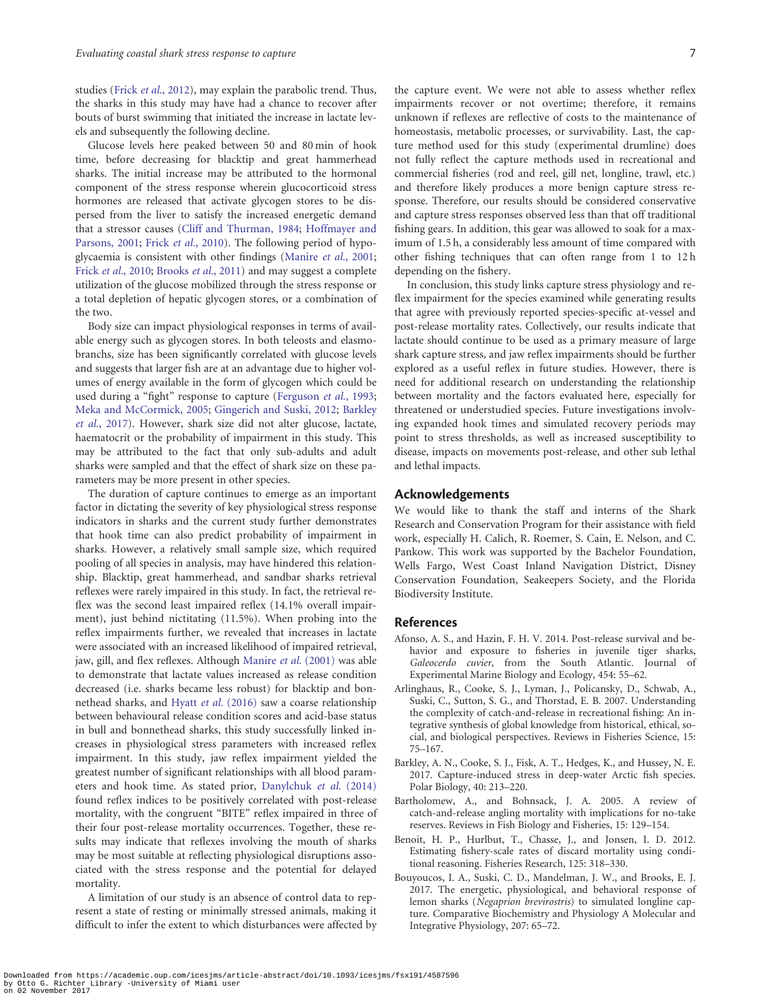<span id="page-6-0"></span>studies (Frick et al.[, 2012\)](#page-7-0), may explain the parabolic trend. Thus, the sharks in this study may have had a chance to recover after bouts of burst swimming that initiated the increase in lactate levels and subsequently the following decline.

Glucose levels here peaked between 50 and 80 min of hook time, before decreasing for blacktip and great hammerhead sharks. The initial increase may be attributed to the hormonal component of the stress response wherein glucocorticoid stress hormones are released that activate glycogen stores to be dispersed from the liver to satisfy the increased energetic demand that a stressor causes ([Cliff and Thurman, 1984](#page-7-0); [Hoffmayer and](#page-7-0) [Parsons, 2001](#page-7-0); Frick et al.[, 2010\)](#page-7-0). The following period of hypoglycaemia is consistent with other findings ([Manire](#page-7-0) et al., 2001; Frick et al.[, 2010](#page-7-0); [Brooks](#page-7-0) et al., 2011) and may suggest a complete utilization of the glucose mobilized through the stress response or a total depletion of hepatic glycogen stores, or a combination of the two.

Body size can impact physiological responses in terms of available energy such as glycogen stores. In both teleosts and elasmobranchs, size has been significantly correlated with glucose levels and suggests that larger fish are at an advantage due to higher volumes of energy available in the form of glycogen which could be used during a "fight" response to capture [\(Ferguson](#page-7-0) et al., 1993; [Meka and McCormick, 2005;](#page-8-0) [Gingerich and Suski, 2012;](#page-7-0) Barkley et al., 2017). However, shark size did not alter glucose, lactate, haematocrit or the probability of impairment in this study. This may be attributed to the fact that only sub-adults and adult sharks were sampled and that the effect of shark size on these parameters may be more present in other species.

The duration of capture continues to emerge as an important factor in dictating the severity of key physiological stress response indicators in sharks and the current study further demonstrates that hook time can also predict probability of impairment in sharks. However, a relatively small sample size, which required pooling of all species in analysis, may have hindered this relationship. Blacktip, great hammerhead, and sandbar sharks retrieval reflexes were rarely impaired in this study. In fact, the retrieval reflex was the second least impaired reflex (14.1% overall impairment), just behind nictitating (11.5%). When probing into the reflex impairments further, we revealed that increases in lactate were associated with an increased likelihood of impaired retrieval, jaw, gill, and flex reflexes. Although [Manire](#page-7-0) et al. (2001) was able to demonstrate that lactate values increased as release condition decreased (i.e. sharks became less robust) for blacktip and bonnethead sharks, and Hyatt et al. [\(2016\)](#page-7-0) saw a coarse relationship between behavioural release condition scores and acid-base status in bull and bonnethead sharks, this study successfully linked increases in physiological stress parameters with increased reflex impairment. In this study, jaw reflex impairment yielded the greatest number of significant relationships with all blood parameters and hook time. As stated prior, [Danylchuk](#page-7-0) et al. (2014) found reflex indices to be positively correlated with post-release mortality, with the congruent "BITE" reflex impaired in three of their four post-release mortality occurrences. Together, these results may indicate that reflexes involving the mouth of sharks may be most suitable at reflecting physiological disruptions associated with the stress response and the potential for delayed mortality.

A limitation of our study is an absence of control data to represent a state of resting or minimally stressed animals, making it difficult to infer the extent to which disturbances were affected by the capture event. We were not able to assess whether reflex impairments recover or not overtime; therefore, it remains unknown if reflexes are reflective of costs to the maintenance of homeostasis, metabolic processes, or survivability. Last, the capture method used for this study (experimental drumline) does not fully reflect the capture methods used in recreational and commercial fisheries (rod and reel, gill net, longline, trawl, etc.) and therefore likely produces a more benign capture stress response. Therefore, our results should be considered conservative and capture stress responses observed less than that off traditional fishing gears. In addition, this gear was allowed to soak for a maximum of 1.5 h, a considerably less amount of time compared with other fishing techniques that can often range from 1 to 12 h depending on the fishery.

In conclusion, this study links capture stress physiology and reflex impairment for the species examined while generating results that agree with previously reported species-specific at-vessel and post-release mortality rates. Collectively, our results indicate that lactate should continue to be used as a primary measure of large shark capture stress, and jaw reflex impairments should be further explored as a useful reflex in future studies. However, there is need for additional research on understanding the relationship between mortality and the factors evaluated here, especially for threatened or understudied species. Future investigations involving expanded hook times and simulated recovery periods may point to stress thresholds, as well as increased susceptibility to disease, impacts on movements post-release, and other sub lethal and lethal impacts.

#### Acknowledgements

We would like to thank the staff and interns of the Shark Research and Conservation Program for their assistance with field work, especially H. Calich, R. Roemer, S. Cain, E. Nelson, and C. Pankow. This work was supported by the Bachelor Foundation, Wells Fargo, West Coast Inland Navigation District, Disney Conservation Foundation, Seakeepers Society, and the Florida Biodiversity Institute.

#### References

- Afonso, A. S., and Hazin, F. H. V. 2014. Post-release survival and behavior and exposure to fisheries in juvenile tiger sharks, Galeocerdo cuvier, from the South Atlantic. Journal of Experimental Marine Biology and Ecology, 454: 55–62.
- Arlinghaus, R., Cooke, S. J., Lyman, J., Policansky, D., Schwab, A., Suski, C., Sutton, S. G., and Thorstad, E. B. 2007. Understanding the complexity of catch-and-release in recreational fishing: An integrative synthesis of global knowledge from historical, ethical, social, and biological perspectives. Reviews in Fisheries Science, 15: 75–167.
- Barkley, A. N., Cooke, S. J., Fisk, A. T., Hedges, K., and Hussey, N. E. 2017. Capture-induced stress in deep-water Arctic fish species. Polar Biology, 40: 213–220.
- Bartholomew, A., and Bohnsack, J. A. 2005. A review of catch-and-release angling mortality with implications for no-take reserves. Reviews in Fish Biology and Fisheries, 15: 129–154.
- Benoit, H. P., Hurlbut, T., Chasse, J., and Jonsen, I. D. 2012. Estimating fishery-scale rates of discard mortality using conditional reasoning. Fisheries Research, 125: 318–330.
- Bouyoucos, I. A., Suski, C. D., Mandelman, J. W., and Brooks, E. J. 2017. The energetic, physiological, and behavioral response of lemon sharks (Negaprion brevirostris) to simulated longline capture. Comparative Biochemistry and Physiology A Molecular and Integrative Physiology, 207: 65–72.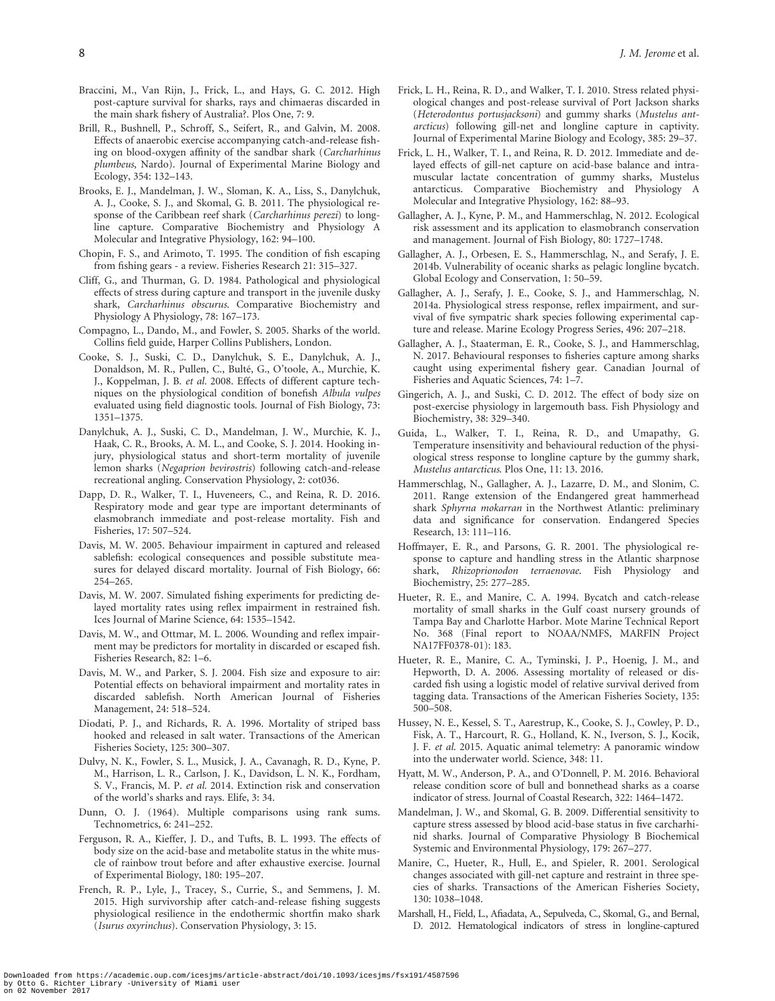- <span id="page-7-0"></span>Braccini, M., Van Rijn, J., Frick, L., and Hays, G. C. 2012. High post-capture survival for sharks, rays and chimaeras discarded in the main shark fishery of Australia?. Plos One, 7: 9.
- Brill, R., Bushnell, P., Schroff, S., Seifert, R., and Galvin, M. 2008. Effects of anaerobic exercise accompanying catch-and-release fishing on blood-oxygen affinity of the sandbar shark (Carcharhinus plumbeus, Nardo). Journal of Experimental Marine Biology and Ecology, 354: 132–143.
- Brooks, E. J., Mandelman, J. W., Sloman, K. A., Liss, S., Danylchuk, A. J., Cooke, S. J., and Skomal, G. B. 2011. The physiological response of the Caribbean reef shark (Carcharhinus perezi) to longline capture. Comparative Biochemistry and Physiology A Molecular and Integrative Physiology, 162: 94–100.
- Chopin, F. S., and Arimoto, T. 1995. The condition of fish escaping from fishing gears - a review. Fisheries Research 21: 315–327.
- Cliff, G., and Thurman, G. D. 1984. Pathological and physiological effects of stress during capture and transport in the juvenile dusky shark, Carcharhinus obscurus. Comparative Biochemistry and Physiology A Physiology, 78: 167–173.
- Compagno, L., Dando, M., and Fowler, S. 2005. Sharks of the world. Collins field guide, Harper Collins Publishers, London.
- Cooke, S. J., Suski, C. D., Danylchuk, S. E., Danylchuk, A. J., Donaldson, M. R., Pullen, C., Bulté, G., O'toole, A., Murchie, K. J., Koppelman, J. B. et al. 2008. Effects of different capture techniques on the physiological condition of bonefish Albula vulpes evaluated using field diagnostic tools. Journal of Fish Biology, 73: 1351–1375.
- Danylchuk, A. J., Suski, C. D., Mandelman, J. W., Murchie, K. J., Haak, C. R., Brooks, A. M. L., and Cooke, S. J. 2014. Hooking injury, physiological status and short-term mortality of juvenile lemon sharks (Negaprion bevirostris) following catch-and-release recreational angling. Conservation Physiology, 2: cot036.
- Dapp, D. R., Walker, T. I., Huveneers, C., and Reina, R. D. 2016. Respiratory mode and gear type are important determinants of elasmobranch immediate and post-release mortality. Fish and Fisheries, 17: 507–524.
- Davis, M. W. 2005. Behaviour impairment in captured and released sablefish: ecological consequences and possible substitute measures for delayed discard mortality. Journal of Fish Biology, 66: 254–265.
- Davis, M. W. 2007. Simulated fishing experiments for predicting delayed mortality rates using reflex impairment in restrained fish. Ices Journal of Marine Science, 64: 1535–1542.
- Davis, M. W., and Ottmar, M. L. 2006. Wounding and reflex impairment may be predictors for mortality in discarded or escaped fish. Fisheries Research, 82: 1–6.
- Davis, M. W., and Parker, S. J. 2004. Fish size and exposure to air: Potential effects on behavioral impairment and mortality rates in discarded sablefish. North American Journal of Fisheries Management, 24: 518–524.
- Diodati, P. J., and Richards, R. A. 1996. Mortality of striped bass hooked and released in salt water. Transactions of the American Fisheries Society, 125: 300–307.
- Dulvy, N. K., Fowler, S. L., Musick, J. A., Cavanagh, R. D., Kyne, P. M., Harrison, L. R., Carlson, J. K., Davidson, L. N. K., Fordham, S. V., Francis, M. P. et al. 2014. Extinction risk and conservation of the world's sharks and rays. Elife, 3: 34.
- Dunn, O. J. (1964). Multiple comparisons using rank sums. Technometrics, 6: 241–252.
- Ferguson, R. A., Kieffer, J. D., and Tufts, B. L. 1993. The effects of body size on the acid-base and metabolite status in the white muscle of rainbow trout before and after exhaustive exercise. Journal of Experimental Biology, 180: 195–207.
- French, R. P., Lyle, J., Tracey, S., Currie, S., and Semmens, J. M. 2015. High survivorship after catch-and-release fishing suggests physiological resilience in the endothermic shortfin mako shark (Isurus oxyrinchus). Conservation Physiology, 3: 15.
- Frick, L. H., Reina, R. D., and Walker, T. I. 2010. Stress related physiological changes and post-release survival of Port Jackson sharks (Heterodontus portusjacksoni) and gummy sharks (Mustelus antarcticus) following gill-net and longline capture in captivity. Journal of Experimental Marine Biology and Ecology, 385: 29–37.
- Frick, L. H., Walker, T. I., and Reina, R. D. 2012. Immediate and delayed effects of gill-net capture on acid-base balance and intramuscular lactate concentration of gummy sharks, Mustelus antarcticus. Comparative Biochemistry and Physiology A Molecular and Integrative Physiology, 162: 88–93.
- Gallagher, A. J., Kyne, P. M., and Hammerschlag, N. 2012. Ecological risk assessment and its application to elasmobranch conservation and management. Journal of Fish Biology, 80: 1727–1748.
- Gallagher, A. J., Orbesen, E. S., Hammerschlag, N., and Serafy, J. E. 2014b. Vulnerability of oceanic sharks as pelagic longline bycatch. Global Ecology and Conservation, 1: 50–59.
- Gallagher, A. J., Serafy, J. E., Cooke, S. J., and Hammerschlag, N. 2014a. Physiological stress response, reflex impairment, and survival of five sympatric shark species following experimental capture and release. Marine Ecology Progress Series, 496: 207–218.
- Gallagher, A. J., Staaterman, E. R., Cooke, S. J., and Hammerschlag, N. 2017. Behavioural responses to fisheries capture among sharks caught using experimental fishery gear. Canadian Journal of Fisheries and Aquatic Sciences, 74: 1–7.
- Gingerich, A. J., and Suski, C. D. 2012. The effect of body size on post-exercise physiology in largemouth bass. Fish Physiology and Biochemistry, 38: 329–340.
- Guida, L., Walker, T. I., Reina, R. D., and Umapathy, G. Temperature insensitivity and behavioural reduction of the physiological stress response to longline capture by the gummy shark, Mustelus antarcticus. Plos One, 11: 13. 2016.
- Hammerschlag, N., Gallagher, A. J., Lazarre, D. M., and Slonim, C. 2011. Range extension of the Endangered great hammerhead shark Sphyrna mokarran in the Northwest Atlantic: preliminary data and significance for conservation. Endangered Species Research, 13: 111–116.
- Hoffmayer, E. R., and Parsons, G. R. 2001. The physiological response to capture and handling stress in the Atlantic sharpnose shark, Rhizoprionodon terraenovae. Fish Physiology and Biochemistry, 25: 277–285.
- Hueter, R. E., and Manire, C. A. 1994. Bycatch and catch-release mortality of small sharks in the Gulf coast nursery grounds of Tampa Bay and Charlotte Harbor. Mote Marine Technical Report No. 368 (Final report to NOAA/NMFS, MARFIN Project NA17FF0378-01): 183.
- Hueter, R. E., Manire, C. A., Tyminski, J. P., Hoenig, J. M., and Hepworth, D. A. 2006. Assessing mortality of released or discarded fish using a logistic model of relative survival derived from tagging data. Transactions of the American Fisheries Society, 135: 500–508.
- Hussey, N. E., Kessel, S. T., Aarestrup, K., Cooke, S. J., Cowley, P. D., Fisk, A. T., Harcourt, R. G., Holland, K. N., Iverson, S. J., Kocik, J. F. et al. 2015. Aquatic animal telemetry: A panoramic window into the underwater world. Science, 348: 11.
- Hyatt, M. W., Anderson, P. A., and O'Donnell, P. M. 2016. Behavioral release condition score of bull and bonnethead sharks as a coarse indicator of stress. Journal of Coastal Research, 322: 1464–1472.
- Mandelman, J. W., and Skomal, G. B. 2009. Differential sensitivity to capture stress assessed by blood acid-base status in five carcharhinid sharks. Journal of Comparative Physiology B Biochemical Systemic and Environmental Physiology, 179: 267–277.
- Manire, C., Hueter, R., Hull, E., and Spieler, R. 2001. Serological changes associated with gill-net capture and restraint in three species of sharks. Transactions of the American Fisheries Society, 130: 1038–1048.
- Marshall, H., Field, L., Afiadata, A., Sepulveda, C., Skomal, G., and Bernal, D. 2012. Hematological indicators of stress in longline-captured